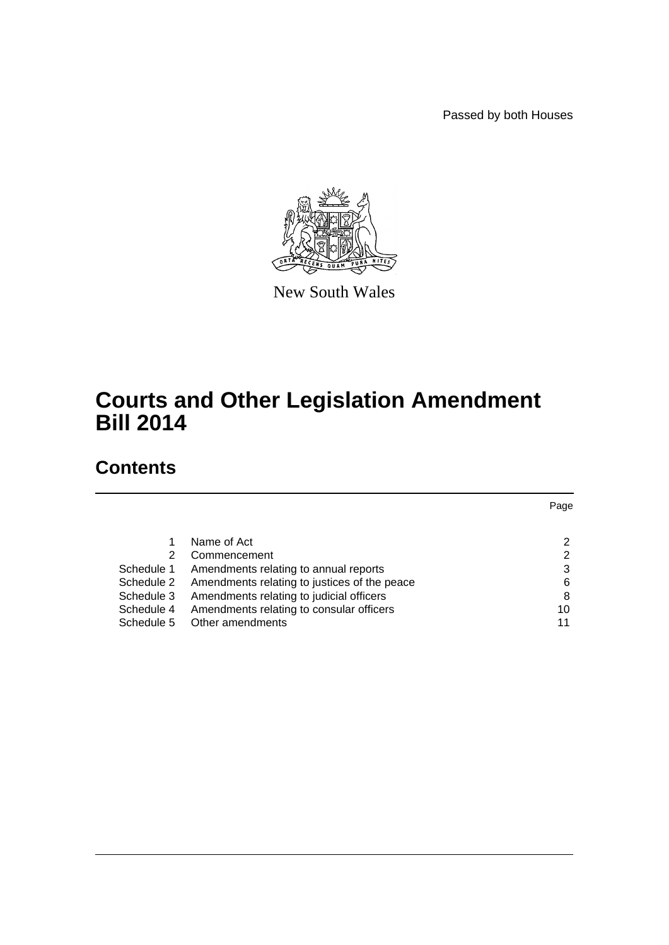Passed by both Houses



New South Wales

# **Courts and Other Legislation Amendment Bill 2014**

# **Contents**

|            |                                              | Page |
|------------|----------------------------------------------|------|
|            |                                              |      |
|            | Name of Act                                  |      |
| 2          | Commencement                                 | 2    |
| Schedule 1 | Amendments relating to annual reports        | 3    |
| Schedule 2 | Amendments relating to justices of the peace | 6    |
| Schedule 3 | Amendments relating to judicial officers     | 8    |
| Schedule 4 | Amendments relating to consular officers     | 10   |
| Schedule 5 | Other amendments                             | 11   |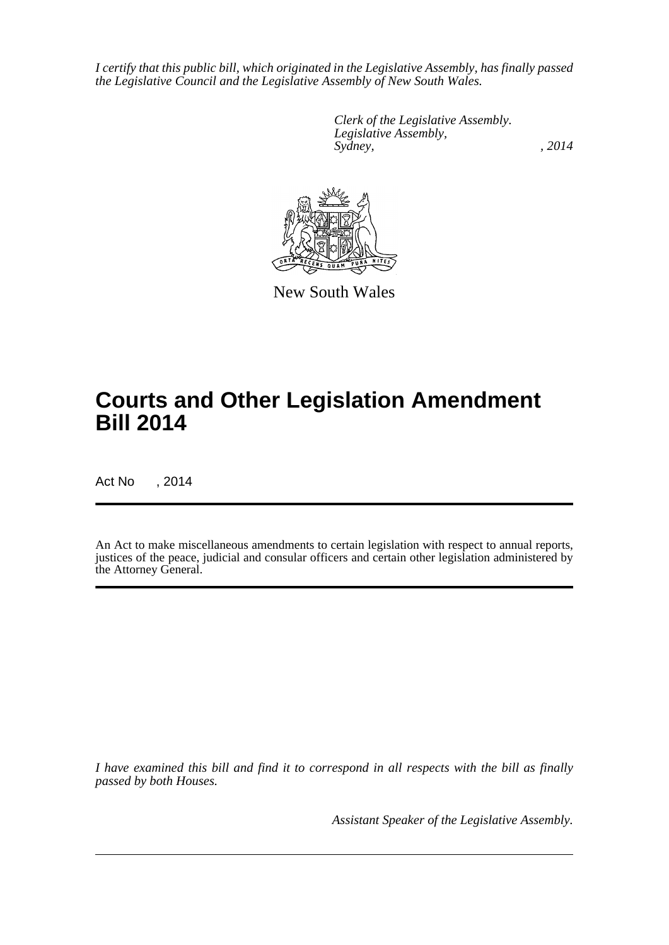*I certify that this public bill, which originated in the Legislative Assembly, has finally passed the Legislative Council and the Legislative Assembly of New South Wales.*

> *Clerk of the Legislative Assembly. Legislative Assembly, Sydney,* , 2014



New South Wales

# **Courts and Other Legislation Amendment Bill 2014**

Act No , 2014

An Act to make miscellaneous amendments to certain legislation with respect to annual reports, justices of the peace, judicial and consular officers and certain other legislation administered by the Attorney General.

*I have examined this bill and find it to correspond in all respects with the bill as finally passed by both Houses.*

*Assistant Speaker of the Legislative Assembly.*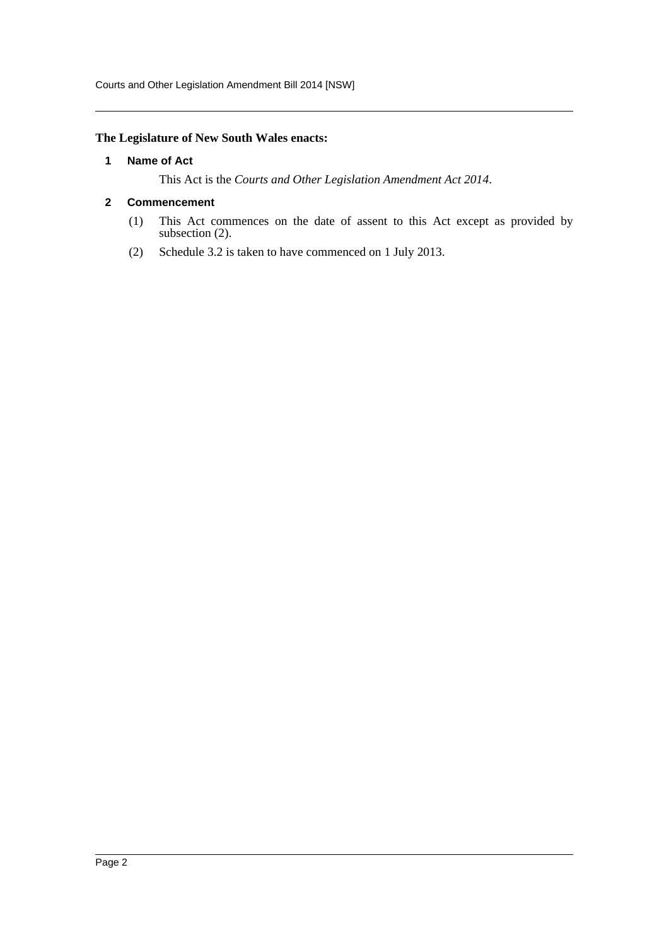Courts and Other Legislation Amendment Bill 2014 [NSW]

#### <span id="page-2-0"></span>**The Legislature of New South Wales enacts:**

#### **1 Name of Act**

This Act is the *Courts and Other Legislation Amendment Act 2014*.

#### <span id="page-2-1"></span>**2 Commencement**

- (1) This Act commences on the date of assent to this Act except as provided by subsection (2).
- (2) Schedule 3.2 is taken to have commenced on 1 July 2013.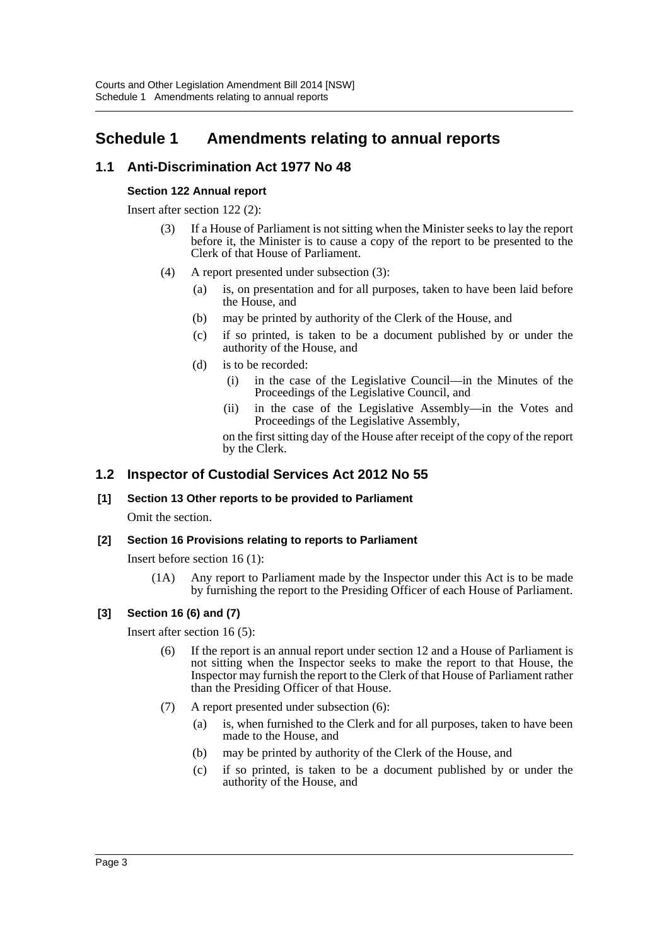# <span id="page-3-0"></span>**Schedule 1 Amendments relating to annual reports**

# **1.1 Anti-Discrimination Act 1977 No 48**

#### **Section 122 Annual report**

Insert after section 122 (2):

- (3) If a House of Parliament is not sitting when the Minister seeks to lay the report before it, the Minister is to cause a copy of the report to be presented to the Clerk of that House of Parliament.
- (4) A report presented under subsection (3):
	- (a) is, on presentation and for all purposes, taken to have been laid before the House, and
	- (b) may be printed by authority of the Clerk of the House, and
	- (c) if so printed, is taken to be a document published by or under the authority of the House, and
	- (d) is to be recorded:
		- (i) in the case of the Legislative Council—in the Minutes of the Proceedings of the Legislative Council, and
		- (ii) in the case of the Legislative Assembly—in the Votes and Proceedings of the Legislative Assembly,

on the first sitting day of the House after receipt of the copy of the report by the Clerk.

# **1.2 Inspector of Custodial Services Act 2012 No 55**

#### **[1] Section 13 Other reports to be provided to Parliament**

Omit the section.

#### **[2] Section 16 Provisions relating to reports to Parliament**

Insert before section 16 (1):

(1A) Any report to Parliament made by the Inspector under this Act is to be made by furnishing the report to the Presiding Officer of each House of Parliament.

#### **[3] Section 16 (6) and (7)**

Insert after section 16 (5):

- (6) If the report is an annual report under section 12 and a House of Parliament is not sitting when the Inspector seeks to make the report to that House, the Inspector may furnish the report to the Clerk of that House of Parliament rather than the Presiding Officer of that House.
- (7) A report presented under subsection (6):
	- (a) is, when furnished to the Clerk and for all purposes, taken to have been made to the House, and
	- (b) may be printed by authority of the Clerk of the House, and
	- (c) if so printed, is taken to be a document published by or under the authority of the House, and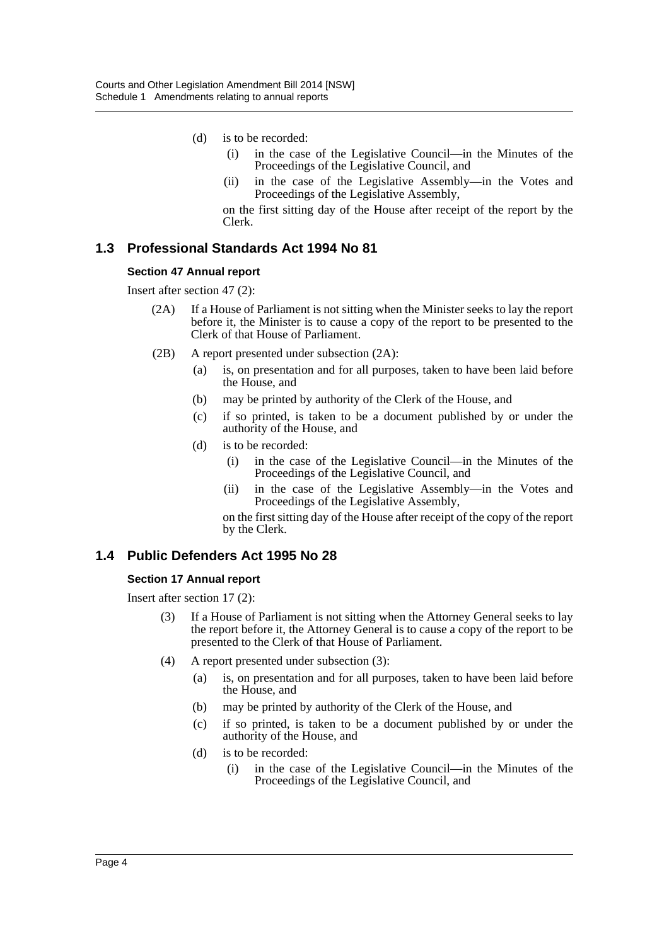- (d) is to be recorded:
	- (i) in the case of the Legislative Council—in the Minutes of the Proceedings of the Legislative Council, and
	- (ii) in the case of the Legislative Assembly—in the Votes and Proceedings of the Legislative Assembly,

on the first sitting day of the House after receipt of the report by the Clerk.

# **1.3 Professional Standards Act 1994 No 81**

#### **Section 47 Annual report**

Insert after section 47 (2):

- (2A) If a House of Parliament is not sitting when the Minister seeks to lay the report before it, the Minister is to cause a copy of the report to be presented to the Clerk of that House of Parliament.
- (2B) A report presented under subsection (2A):
	- (a) is, on presentation and for all purposes, taken to have been laid before the House, and
	- (b) may be printed by authority of the Clerk of the House, and
	- (c) if so printed, is taken to be a document published by or under the authority of the House, and
	- (d) is to be recorded:
		- (i) in the case of the Legislative Council—in the Minutes of the Proceedings of the Legislative Council, and
		- (ii) in the case of the Legislative Assembly—in the Votes and Proceedings of the Legislative Assembly,

on the first sitting day of the House after receipt of the copy of the report by the Clerk.

#### **1.4 Public Defenders Act 1995 No 28**

#### **Section 17 Annual report**

Insert after section 17 (2):

- (3) If a House of Parliament is not sitting when the Attorney General seeks to lay the report before it, the Attorney General is to cause a copy of the report to be presented to the Clerk of that House of Parliament.
- (4) A report presented under subsection (3):
	- (a) is, on presentation and for all purposes, taken to have been laid before the House, and
	- (b) may be printed by authority of the Clerk of the House, and
	- (c) if so printed, is taken to be a document published by or under the authority of the House, and
	- (d) is to be recorded:
		- (i) in the case of the Legislative Council—in the Minutes of the Proceedings of the Legislative Council, and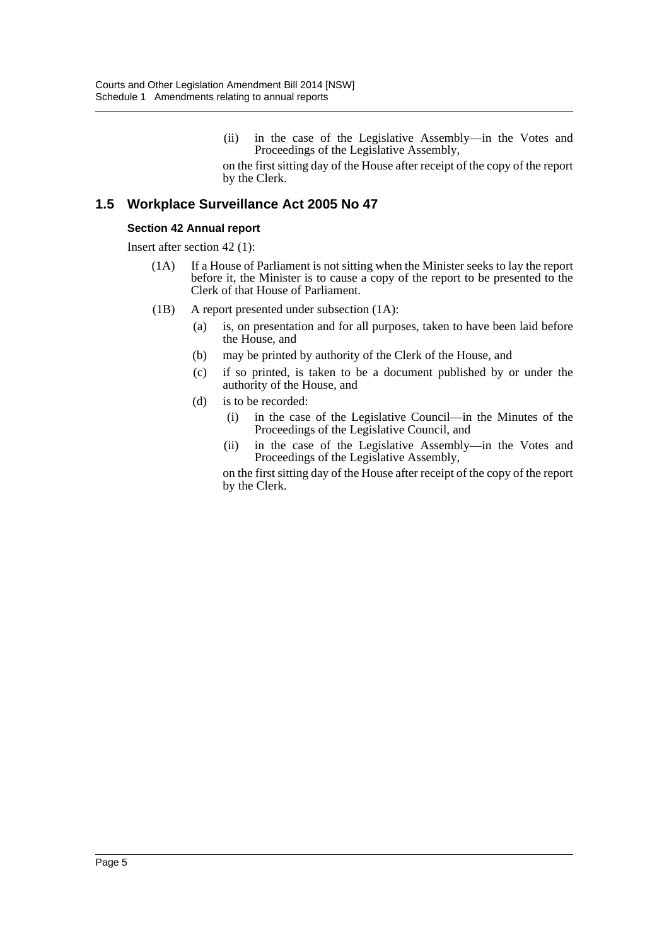(ii) in the case of the Legislative Assembly—in the Votes and Proceedings of the Legislative Assembly,

on the first sitting day of the House after receipt of the copy of the report by the Clerk.

### **1.5 Workplace Surveillance Act 2005 No 47**

#### **Section 42 Annual report**

Insert after section 42 (1):

- (1A) If a House of Parliament is not sitting when the Minister seeks to lay the report before it, the Minister is to cause a copy of the report to be presented to the Clerk of that House of Parliament.
- (1B) A report presented under subsection (1A):
	- (a) is, on presentation and for all purposes, taken to have been laid before the House, and
	- (b) may be printed by authority of the Clerk of the House, and
	- (c) if so printed, is taken to be a document published by or under the authority of the House, and
	- (d) is to be recorded:
		- (i) in the case of the Legislative Council—in the Minutes of the Proceedings of the Legislative Council, and
		- (ii) in the case of the Legislative Assembly—in the Votes and Proceedings of the Legislative Assembly,

on the first sitting day of the House after receipt of the copy of the report by the Clerk.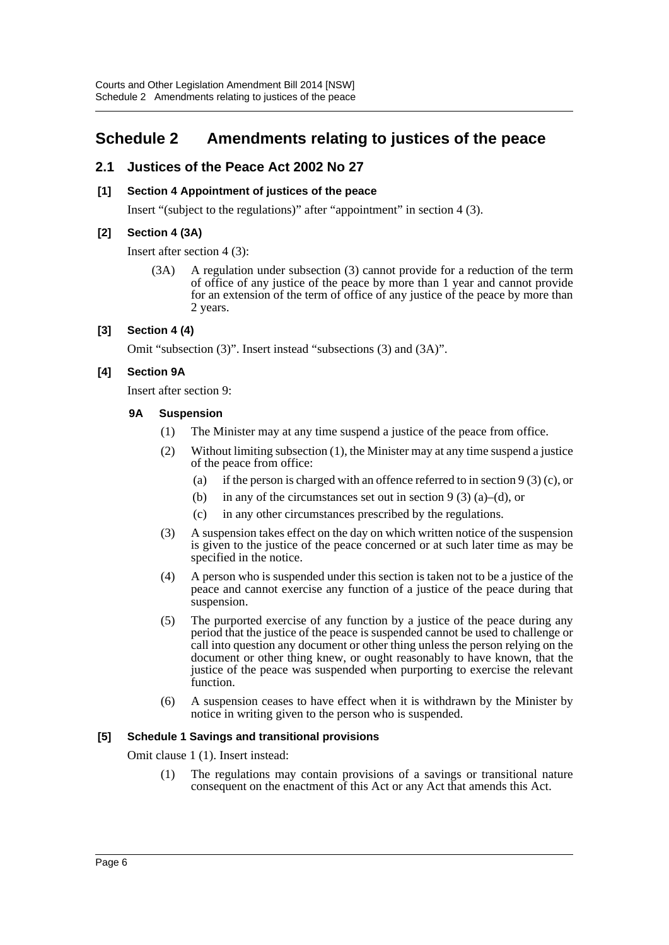# <span id="page-6-0"></span>**Schedule 2 Amendments relating to justices of the peace**

# **2.1 Justices of the Peace Act 2002 No 27**

#### **[1] Section 4 Appointment of justices of the peace**

Insert "(subject to the regulations)" after "appointment" in section 4 (3).

#### **[2] Section 4 (3A)**

Insert after section 4 (3):

(3A) A regulation under subsection (3) cannot provide for a reduction of the term of office of any justice of the peace by more than 1 year and cannot provide for an extension of the term of office of any justice of the peace by more than 2 years.

#### **[3] Section 4 (4)**

Omit "subsection (3)". Insert instead "subsections (3) and (3A)".

### **[4] Section 9A**

Insert after section 9:

#### **9A Suspension**

- (1) The Minister may at any time suspend a justice of the peace from office.
- (2) Without limiting subsection (1), the Minister may at any time suspend a justice of the peace from office:
	- (a) if the person is charged with an offence referred to in section 9 (3) (c), or
	- (b) in any of the circumstances set out in section 9 (3) (a)–(d), or
	- (c) in any other circumstances prescribed by the regulations.
- (3) A suspension takes effect on the day on which written notice of the suspension is given to the justice of the peace concerned or at such later time as may be specified in the notice.
- (4) A person who is suspended under this section is taken not to be a justice of the peace and cannot exercise any function of a justice of the peace during that suspension.
- (5) The purported exercise of any function by a justice of the peace during any period that the justice of the peace is suspended cannot be used to challenge or call into question any document or other thing unless the person relying on the document or other thing knew, or ought reasonably to have known, that the justice of the peace was suspended when purporting to exercise the relevant function.
- (6) A suspension ceases to have effect when it is withdrawn by the Minister by notice in writing given to the person who is suspended.

#### **[5] Schedule 1 Savings and transitional provisions**

Omit clause 1 (1). Insert instead:

(1) The regulations may contain provisions of a savings or transitional nature consequent on the enactment of this Act or any Act that amends this Act.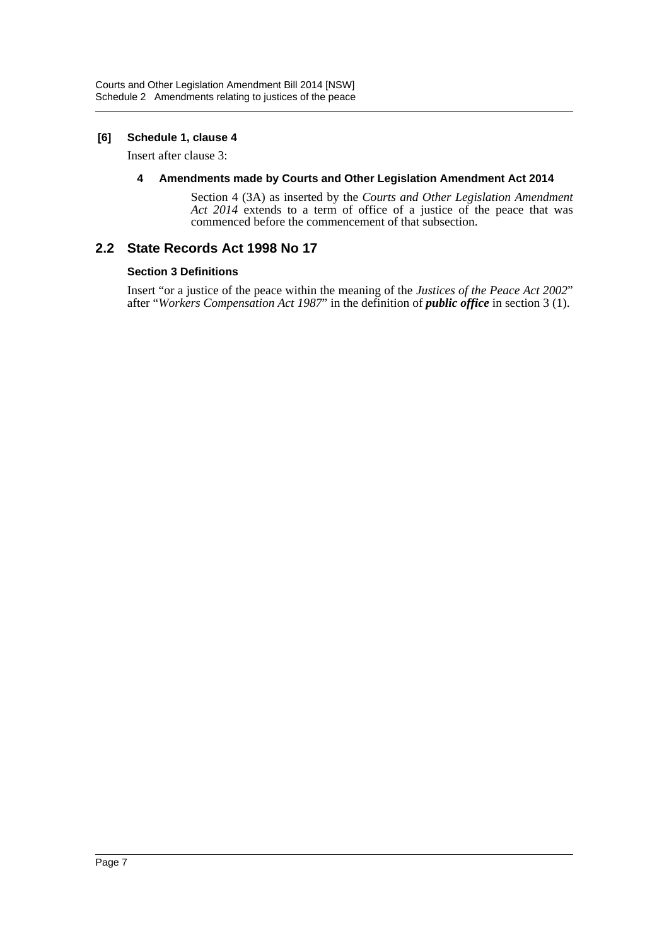#### **[6] Schedule 1, clause 4**

Insert after clause 3:

#### **4 Amendments made by Courts and Other Legislation Amendment Act 2014**

Section 4 (3A) as inserted by the *Courts and Other Legislation Amendment* Act 2014 extends to a term of office of a justice of the peace that was commenced before the commencement of that subsection.

# **2.2 State Records Act 1998 No 17**

#### **Section 3 Definitions**

Insert "or a justice of the peace within the meaning of the *Justices of the Peace Act 2002*" after "*Workers Compensation Act 1987*" in the definition of *public office* in section 3 (1).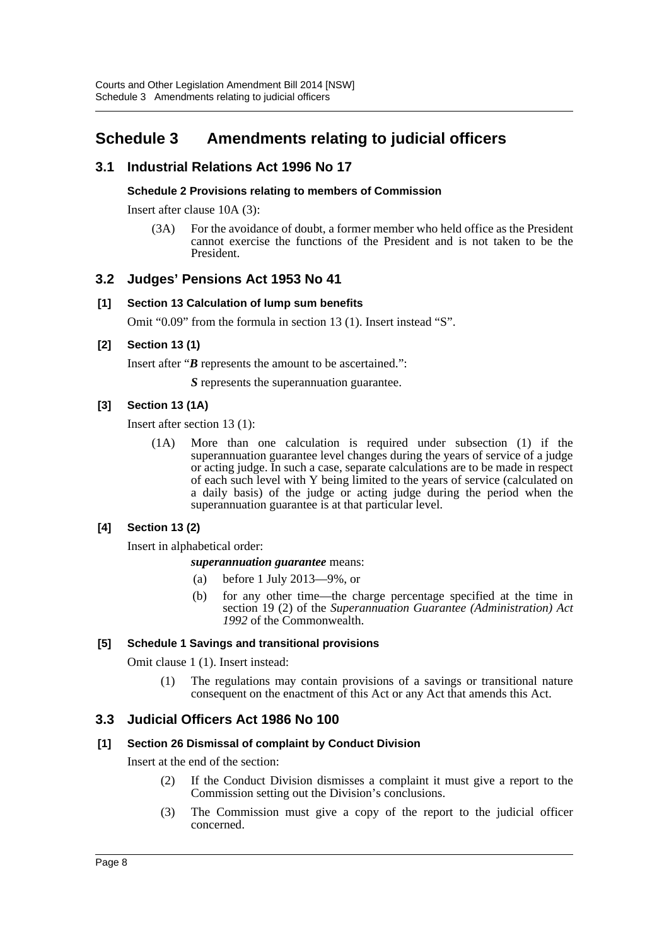# <span id="page-8-0"></span>**Schedule 3 Amendments relating to judicial officers**

# **3.1 Industrial Relations Act 1996 No 17**

#### **Schedule 2 Provisions relating to members of Commission**

Insert after clause 10A (3):

(3A) For the avoidance of doubt, a former member who held office as the President cannot exercise the functions of the President and is not taken to be the President.

#### **3.2 Judges' Pensions Act 1953 No 41**

#### **[1] Section 13 Calculation of lump sum benefits**

Omit "0.09" from the formula in section 13 (1). Insert instead "S".

#### **[2] Section 13 (1)**

Insert after "*B* represents the amount to be ascertained.":

*S* represents the superannuation guarantee.

#### **[3] Section 13 (1A)**

Insert after section 13 (1):

(1A) More than one calculation is required under subsection (1) if the superannuation guarantee level changes during the years of service of a judge or acting judge. In such a case, separate calculations are to be made in respect of each such level with Y being limited to the years of service (calculated on a daily basis) of the judge or acting judge during the period when the superannuation guarantee is at that particular level.

#### **[4] Section 13 (2)**

Insert in alphabetical order:

#### *superannuation guarantee* means:

- (a) before 1 July 2013—9%, or
- (b) for any other time—the charge percentage specified at the time in section 19 (2) of the *Superannuation Guarantee (Administration) Act 1992* of the Commonwealth.

#### **[5] Schedule 1 Savings and transitional provisions**

Omit clause 1 (1). Insert instead:

(1) The regulations may contain provisions of a savings or transitional nature consequent on the enactment of this Act or any Act that amends this Act.

#### **3.3 Judicial Officers Act 1986 No 100**

#### **[1] Section 26 Dismissal of complaint by Conduct Division**

Insert at the end of the section:

- (2) If the Conduct Division dismisses a complaint it must give a report to the Commission setting out the Division's conclusions.
- (3) The Commission must give a copy of the report to the judicial officer concerned.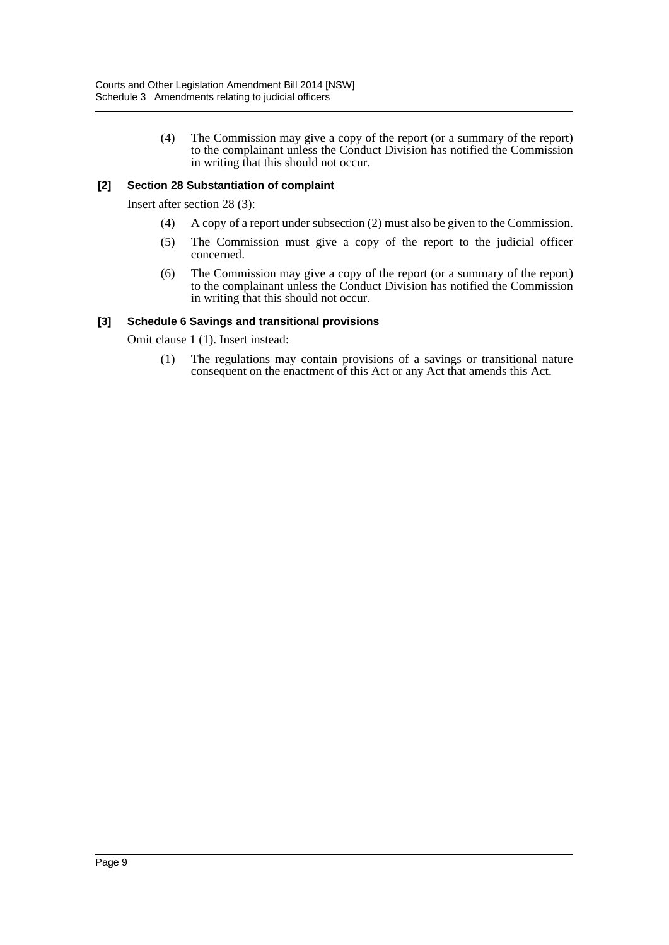(4) The Commission may give a copy of the report (or a summary of the report) to the complainant unless the Conduct Division has notified the Commission in writing that this should not occur.

#### **[2] Section 28 Substantiation of complaint**

Insert after section 28 (3):

- (4) A copy of a report under subsection (2) must also be given to the Commission.
- (5) The Commission must give a copy of the report to the judicial officer concerned.
- (6) The Commission may give a copy of the report (or a summary of the report) to the complainant unless the Conduct Division has notified the Commission in writing that this should not occur.

#### **[3] Schedule 6 Savings and transitional provisions**

Omit clause 1 (1). Insert instead:

(1) The regulations may contain provisions of a savings or transitional nature consequent on the enactment of this Act or any Act that amends this Act.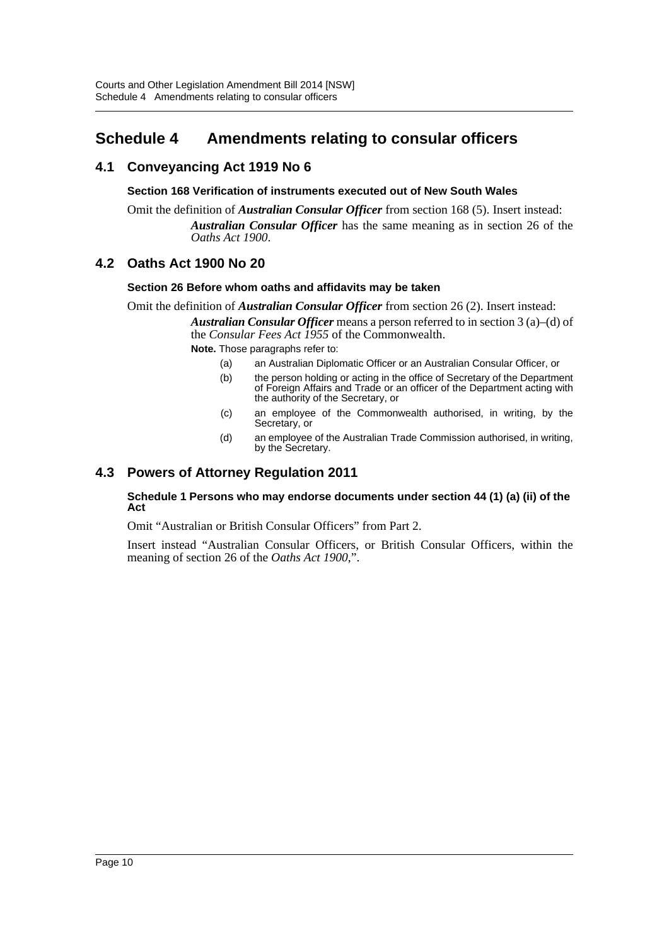# <span id="page-10-0"></span>**Schedule 4 Amendments relating to consular officers**

# **4.1 Conveyancing Act 1919 No 6**

#### **Section 168 Verification of instruments executed out of New South Wales**

Omit the definition of *Australian Consular Officer* from section 168 (5). Insert instead: *Australian Consular Officer* has the same meaning as in section 26 of the *Oaths Act 1900*.

# **4.2 Oaths Act 1900 No 20**

#### **Section 26 Before whom oaths and affidavits may be taken**

Omit the definition of *Australian Consular Officer* from section 26 (2). Insert instead: *Australian Consular Officer* means a person referred to in section 3 (a)–(d) of the *Consular Fees Act 1955* of the Commonwealth.

**Note.** Those paragraphs refer to:

- (a) an Australian Diplomatic Officer or an Australian Consular Officer, or
- (b) the person holding or acting in the office of Secretary of the Department of Foreign Affairs and Trade or an officer of the Department acting with the authority of the Secretary, or
- (c) an employee of the Commonwealth authorised, in writing, by the Secretary, or
- (d) an employee of the Australian Trade Commission authorised, in writing, by the Secretary.

# **4.3 Powers of Attorney Regulation 2011**

#### **Schedule 1 Persons who may endorse documents under section 44 (1) (a) (ii) of the Act**

Omit "Australian or British Consular Officers" from Part 2.

Insert instead "Australian Consular Officers, or British Consular Officers, within the meaning of section 26 of the *Oaths Act 1900*,".